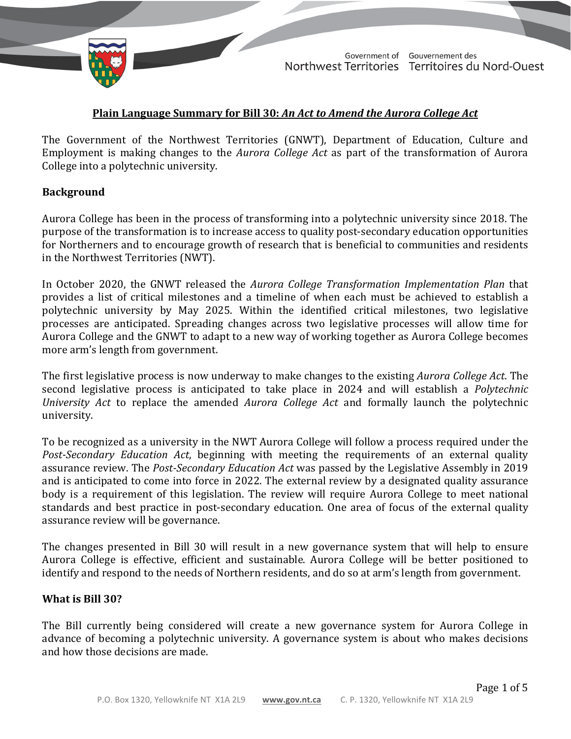

TD 419-19(2) TABLED ON JUNE 2, 2021

Government of Gouvernement des Northwest Territories Territoires du Nord-Ouest

### **Plain Language Summary for Bill 30:** *An Act to Amend the Aurora College Act*

The Government of the Northwest Territories (GNWT), Department of Education, Culture and Employment is making changes to the *Aurora College Act* as part of the transformation of Aurora College into a polytechnic university.

#### **Background**

Aurora College has been in the process of transforming into a polytechnic university since 2018. The purpose of the transformation is to increase access to quality post-secondary education opportunities for Northerners and to encourage growth of research that is beneficial to communities and residents in the Northwest Territories (NWT).

In October 2020, the GNWT released the *Aurora College Transformation Implementation Plan* that provides a list of critical milestones and a timeline of when each must be achieved to establish a polytechnic university by May 2025. Within the identified critical milestones, two legislative processes are anticipated. Spreading changes across two legislative processes will allow time for Aurora College and the GNWT to adapt to a new way of working together as Aurora College becomes more arm's length from government.

The first legislative process is now underway to make changes to the existing *Aurora College Act*. The second legislative process is anticipated to take place in 2024 and will establish a *Polytechnic University Act* to replace the amended *Aurora College Act* and formally launch the polytechnic university.

To be recognized as a university in the NWT Aurora College will follow a process required under the *Post-Secondary Education Act*, beginning with meeting the requirements of an external quality assurance review. The *Post-Secondary Education Act* was passed by the Legislative Assembly in 2019 and is anticipated to come into force in 2022. The external review by a designated quality assurance body is a requirement of this legislation. The review will require Aurora College to meet national standards and best practice in post-secondary education. One area of focus of the external quality assurance review will be governance.

The changes presented in Bill 30 will result in a new governance system that will help to ensure Aurora College is effective, efficient and sustainable. Aurora College will be better positioned to identify and respond to the needs of Northern residents, and do so at arm's length from government.

#### **What is Bill 30?**

The Bill currently being considered will create a new governance system for Aurora College in advance of becoming a polytechnic university. A governance system is about who makes decisions and how those decisions are made.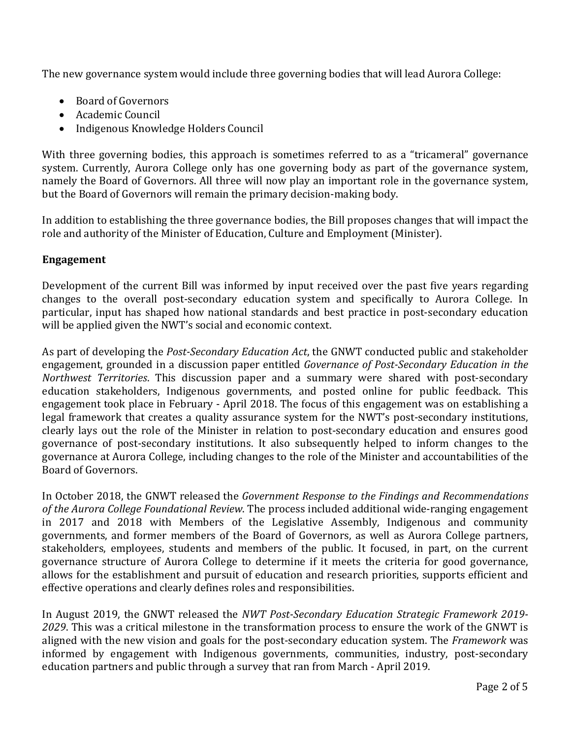The new governance system would include three governing bodies that will lead Aurora College:

- Board of Governors
- Academic Council
- Indigenous Knowledge Holders Council

With three governing bodies, this approach is sometimes referred to as a "tricameral" governance system. Currently, Aurora College only has one governing body as part of the governance system, namely the Board of Governors. All three will now play an important role in the governance system, but the Board of Governors will remain the primary decision-making body.

In addition to establishing the three governance bodies, the Bill proposes changes that will impact the role and authority of the Minister of Education, Culture and Employment (Minister).

# **Engagement**

Development of the current Bill was informed by input received over the past five years regarding changes to the overall post-secondary education system and specifically to Aurora College. In particular, input has shaped how national standards and best practice in post-secondary education will be applied given the NWT's social and economic context.

As part of developing the *Post-Secondary Education Act*, the GNWT conducted public and stakeholder engagement, grounded in a discussion paper entitled *Governance of Post-Secondary Education in the Northwest Territories*. This discussion paper and a summary were shared with post-secondary education stakeholders, Indigenous governments, and posted online for public feedback. This engagement took place in February - April 2018. The focus of this engagement was on establishing a legal framework that creates a quality assurance system for the NWT's post-secondary institutions, clearly lays out the role of the Minister in relation to post-secondary education and ensures good governance of post-secondary institutions. It also subsequently helped to inform changes to the governance at Aurora College, including changes to the role of the Minister and accountabilities of the Board of Governors.

In October 2018, the GNWT released the *Government Response to the Findings and Recommendations of the Aurora College Foundational Review*. The process included additional wide-ranging engagement in 2017 and 2018 with Members of the Legislative Assembly, Indigenous and community governments, and former members of the Board of Governors, as well as Aurora College partners, stakeholders, employees, students and members of the public. It focused, in part, on the current governance structure of Aurora College to determine if it meets the criteria for good governance, allows for the establishment and pursuit of education and research priorities, supports efficient and effective operations and clearly defines roles and responsibilities.

In August 2019, the GNWT released the *NWT Post-Secondary Education Strategic Framework 2019- 2029*. This was a critical milestone in the transformation process to ensure the work of the GNWT is aligned with the new vision and goals for the post-secondary education system. The *Framework* was informed by engagement with Indigenous governments, communities, industry, post-secondary education partners and public through a survey that ran from March - April 2019.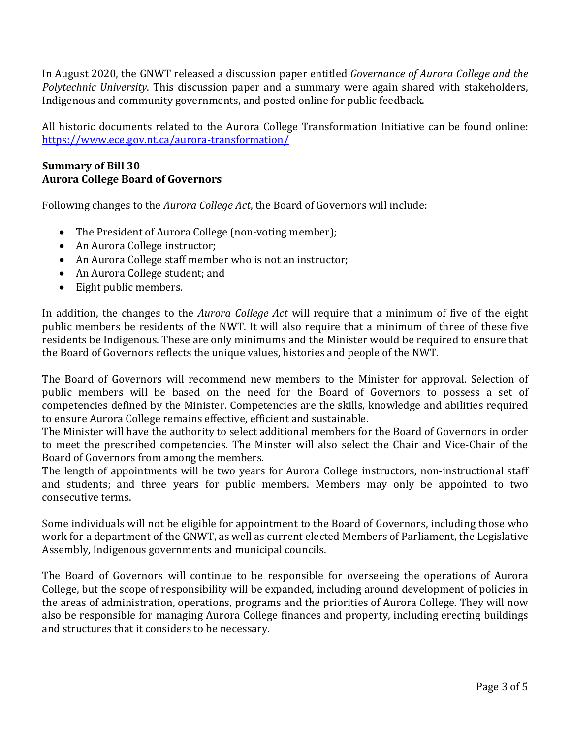In August 2020, the GNWT released a discussion paper entitled *Governance of Aurora College and the Polytechnic University*. This discussion paper and a summary were again shared with stakeholders, Indigenous and community governments, and posted online for public feedback.

All historic documents related to the Aurora College Transformation Initiative can be found online: <https://www.ece.gov.nt.ca/aurora-transformation/>

## **Summary of Bill 30 Aurora College Board of Governors**

Following changes to the *Aurora College Act*, the Board of Governors will include:

- The President of Aurora College (non-voting member);
- An Aurora College instructor;
- An Aurora College staff member who is not an instructor;
- An Aurora College student; and
- Eight public members.

In addition, the changes to the *Aurora College Act* will require that a minimum of five of the eight public members be residents of the NWT. It will also require that a minimum of three of these five residents be Indigenous. These are only minimums and the Minister would be required to ensure that the Board of Governors reflects the unique values, histories and people of the NWT.

The Board of Governors will recommend new members to the Minister for approval. Selection of public members will be based on the need for the Board of Governors to possess a set of competencies defined by the Minister. Competencies are the skills, knowledge and abilities required to ensure Aurora College remains effective, efficient and sustainable.

The Minister will have the authority to select additional members for the Board of Governors in order to meet the prescribed competencies. The Minster will also select the Chair and Vice-Chair of the Board of Governors from among the members.

The length of appointments will be two years for Aurora College instructors, non-instructional staff and students; and three years for public members. Members may only be appointed to two consecutive terms.

Some individuals will not be eligible for appointment to the Board of Governors, including those who work for a department of the GNWT, as well as current elected Members of Parliament, the Legislative Assembly, Indigenous governments and municipal councils.

The Board of Governors will continue to be responsible for overseeing the operations of Aurora College, but the scope of responsibility will be expanded, including around development of policies in the areas of administration, operations, programs and the priorities of Aurora College. They will now also be responsible for managing Aurora College finances and property, including erecting buildings and structures that it considers to be necessary.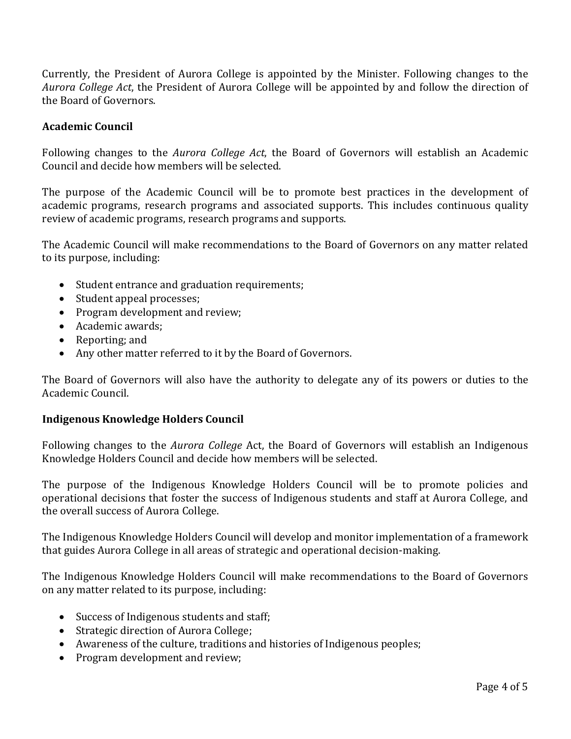Currently, the President of Aurora College is appointed by the Minister. Following changes to the *Aurora College Act*, the President of Aurora College will be appointed by and follow the direction of the Board of Governors.

## **Academic Council**

Following changes to the *Aurora College Act*, the Board of Governors will establish an Academic Council and decide how members will be selected.

The purpose of the Academic Council will be to promote best practices in the development of academic programs, research programs and associated supports. This includes continuous quality review of academic programs, research programs and supports.

The Academic Council will make recommendations to the Board of Governors on any matter related to its purpose, including:

- Student entrance and graduation requirements;
- Student appeal processes;
- Program development and review;
- Academic awards;
- Reporting; and
- Any other matter referred to it by the Board of Governors.

The Board of Governors will also have the authority to delegate any of its powers or duties to the Academic Council.

#### **Indigenous Knowledge Holders Council**

Following changes to the *Aurora College* Act, the Board of Governors will establish an Indigenous Knowledge Holders Council and decide how members will be selected.

The purpose of the Indigenous Knowledge Holders Council will be to promote policies and operational decisions that foster the success of Indigenous students and staff at Aurora College, and the overall success of Aurora College.

The Indigenous Knowledge Holders Council will develop and monitor implementation of a framework that guides Aurora College in all areas of strategic and operational decision-making.

The Indigenous Knowledge Holders Council will make recommendations to the Board of Governors on any matter related to its purpose, including:

- Success of Indigenous students and staff;
- Strategic direction of Aurora College;
- Awareness of the culture, traditions and histories of Indigenous peoples;
- Program development and review;